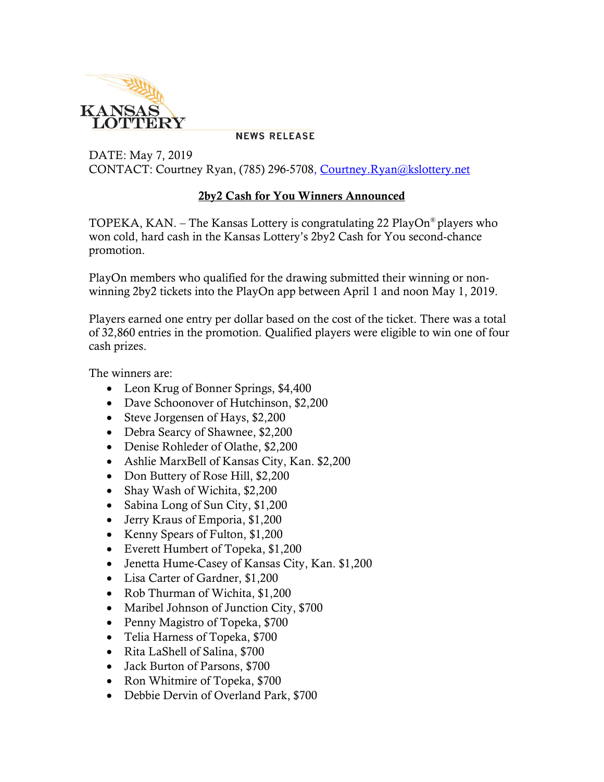

**NEWS RELEASE** 

DATE: May 7, 2019 CONTACT: Courtney Ryan, (785) 296-5708, [Courtney.Ryan@kslottery.net](mailto:Courtney.Ryan@kslottery.net)

## **2by2 Cash for You Winners Announced**

TOPEKA, KAN. – The Kansas Lottery is congratulating 22 PlayOn® players who won cold, hard cash in the Kansas Lottery's 2by2 Cash for You second-chance promotion.

PlayOn members who qualified for the drawing submitted their winning or nonwinning 2by2 tickets into the PlayOn app between April 1 and noon May 1, 2019.

Players earned one entry per dollar based on the cost of the ticket. There was a total of 32,860 entries in the promotion. Qualified players were eligible to win one of four cash prizes.

The winners are:

- Leon Krug of Bonner Springs, \$4,400
- Dave Schoonover of Hutchinson, \$2,200
- Steve Jorgensen of Hays, \$2,200
- Debra Searcy of Shawnee, \$2,200
- Denise Rohleder of Olathe, \$2,200
- Ashlie MarxBell of Kansas City, Kan. \$2,200
- Don Buttery of Rose Hill, \$2,200
- Shay Wash of Wichita, \$2,200
- Sabina Long of Sun City, \$1,200
- Jerry Kraus of Emporia, \$1,200
- Kenny Spears of Fulton, \$1,200
- Everett Humbert of Topeka, \$1,200
- Jenetta Hume-Casey of Kansas City, Kan. \$1,200
- Lisa Carter of Gardner, \$1,200
- Rob Thurman of Wichita, \$1,200
- Maribel Johnson of Junction City, \$700
- Penny Magistro of Topeka, \$700
- Telia Harness of Topeka, \$700
- Rita LaShell of Salina, \$700
- Jack Burton of Parsons, \$700
- Ron Whitmire of Topeka, \$700
- Debbie Dervin of Overland Park, \$700